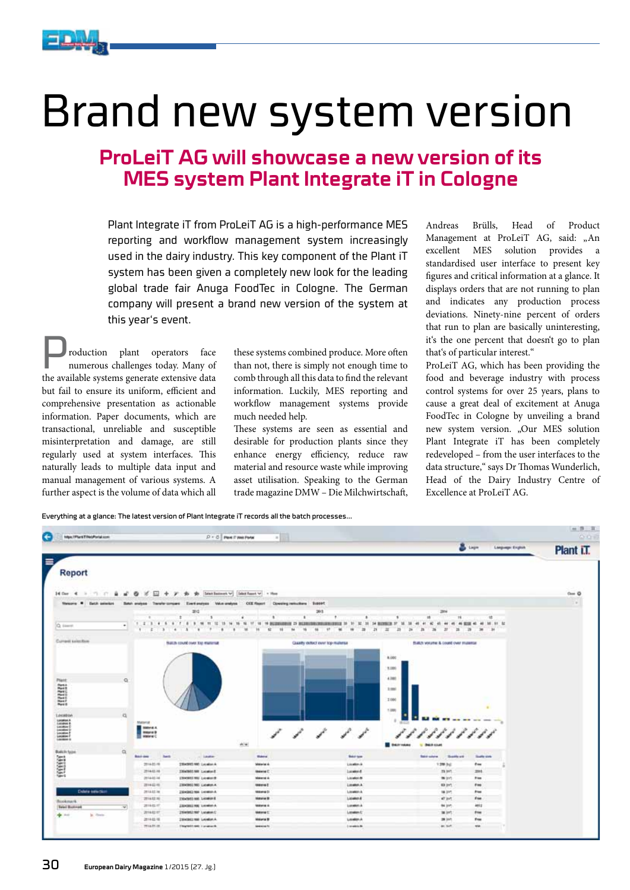

# Brand new system version

### **ProLeiT AG will showcase a new version of its MES system Plant Integrate iT in Cologne**

Plant Integrate iT from ProLeiT AG is a high-performance MES reporting and workflow management system increasingly used in the dairy industry. This key component of the Plant iT system has been given a completely new look for the leading global trade fair Anuga FoodTec in Cologne. The German company will present a brand new version of the system at this year's event.

Production plant operators face numerous challenges today. Many of the available systems generate extensive data but fail to ensure its uniform, efficient and comprehensive presentation as actionable information. Paper documents, which are transactional, unreliable and susceptible misinterpretation and damage, are still regularly used at system interfaces. This naturally leads to multiple data input and manual management of various systems. A further aspect is the volume of data which all

these systems combined produce. More often than not, there is simply not enough time to comb through all this data to find the relevant information. Luckily, MES reporting and workflow management systems provide much needed help.

These systems are seen as essential and desirable for production plants since they enhance energy efficiency, reduce raw material and resource waste while improving asset utilisation. Speaking to the German trade magazine DMW – Die Milchwirtschaft,

Andreas Brülls, Head of Product Management at ProLeiT AG, said: "An excellent MES solution provides a standardised user interface to present key figures and critical information at a glance. It displays orders that are not running to plan and indicates any production process deviations. Ninety-nine percent of orders that run to plan are basically uninteresting, it's the one percent that doesn't go to plan that's of particular interest."

ProLeiT AG, which has been providing the food and beverage industry with process control systems for over 25 years, plans to cause a great deal of excitement at Anuga FoodTec in Cologne by unveiling a brand new system version. "Our MES solution Plant Integrate iT has been completely redeveloped – from the user interfaces to the data structure," says Dr Thomas Wunderlich, Head of the Dairy Industry Centre of Excellence at ProLeiT AG.

Everything at a glance: The latest version of Plant Integrate iT records all the batch processes...

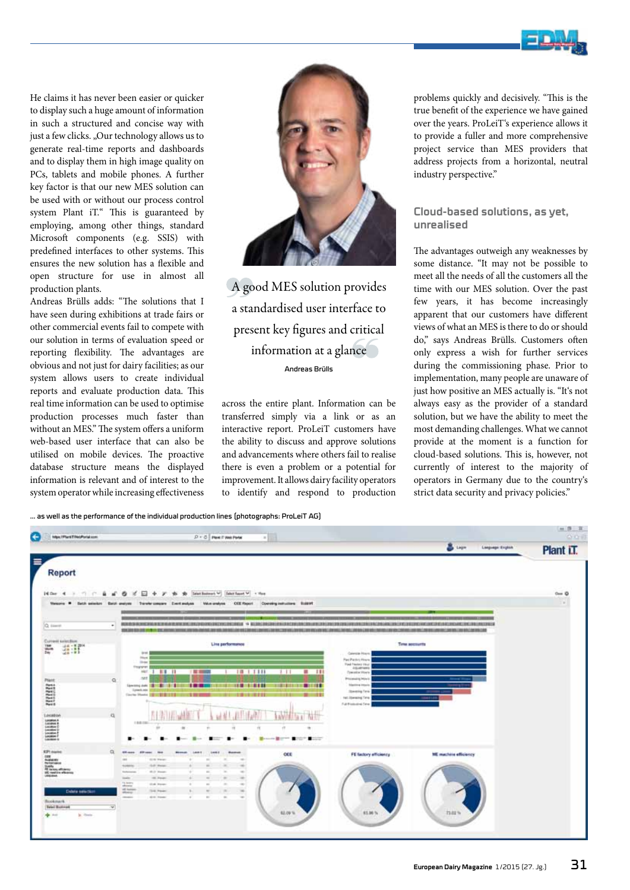

He claims it has never been easier or quicker to display such a huge amount of information in such a structured and concise way with just a few clicks. "Our technology allows us to generate real-time reports and dashboards and to display them in high image quality on PCs, tablets and mobile phones. A further key factor is that our new MES solution can be used with or without our process control system Plant iT." This is guaranteed by employing, among other things, standard Microsoft components (e.g. SSIS) with predefined interfaces to other systems. This ensures the new solution has a flexible and open structure for use in almost all production plants.

Andreas Brülls adds: "The solutions that I have seen during exhibitions at trade fairs or other commercial events fail to compete with our solution in terms of evaluation speed or reporting flexibility. The advantages are obvious and not just for dairy facilities; as our system allows users to create individual reports and evaluate production data. This real time information can be used to optimise production processes much faster than without an MES." The system offers a uniform web-based user interface that can also be utilised on mobile devices. The proactive database structure means the displayed information is relevant and of interest to the system operator while increasing effectiveness



A good MES solution provides a standardised user interface to present key figures and critical information at a glance Andreas Brülls

across the entire plant. Information can be transferred simply via a link or as an interactive report. ProLeiT customers have the ability to discuss and approve solutions and advancements where others fail to realise there is even a problem or a potential for improvement. It allows dairy facility operators to identify and respond to production

problems quickly and decisively. "This is the true benefit of the experience we have gained over the years. ProLeiT's experience allows it to provide a fuller and more comprehensive project service than MES providers that address projects from a horizontal, neutral industry perspective."

#### **Cloud-based solutions, as yet, unrealised**

The advantages outweigh any weaknesses by some distance. "It may not be possible to meet all the needs of all the customers all the time with our MES solution. Over the past few years, it has become increasingly apparent that our customers have different views of what an MES is there to do or should do," says Andreas Brülls. Customers often only express a wish for further services during the commissioning phase. Prior to implementation, many people are unaware of just how positive an MES actually is. "It's not always easy as the provider of a standard solution, but we have the ability to meet the most demanding challenges. What we cannot provide at the moment is a function for cloud-based solutions. This is, however, not currently of interest to the majority of operators in Germany due to the country's strict data security and privacy policies."

… as well as the performance of the individual production lines (photographs: ProLeiT AG)